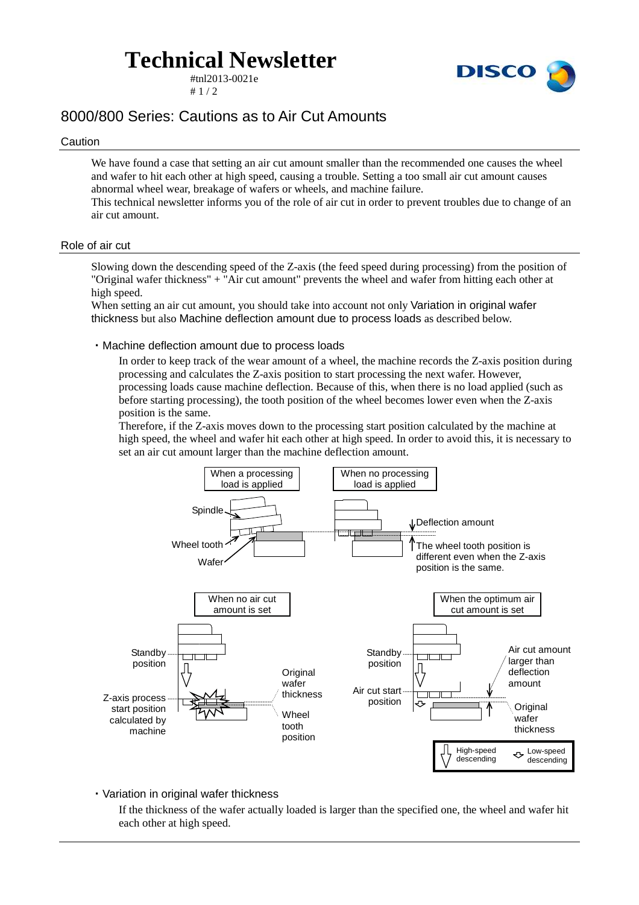## **Technical Newsletter**

#tnl2013-0021e  $# 1 / 2$ 



### 8000/800 Series: Cautions as to Air Cut Amounts

#### Caution

We have found a case that setting an air cut amount smaller than the recommended one causes the wheel and wafer to hit each other at high speed, causing a trouble. Setting a too small air cut amount causes abnormal wheel wear, breakage of wafers or wheels, and machine failure.

This technical newsletter informs you of the role of air cut in order to prevent troubles due to change of an air cut amount.

#### Role of air cut

Slowing down the descending speed of the Z-axis (the feed speed during processing) from the position of "Original wafer thickness" + "Air cut amount" prevents the wheel and wafer from hitting each other at high speed.

When setting an air cut amount, you should take into account not only Variation in original wafer thickness but also Machine deflection amount due to process loads as described below.

#### ・Machine deflection amount due to process loads

In order to keep track of the wear amount of a wheel, the machine records the Z-axis position during processing and calculates the Z-axis position to start processing the next wafer. However, processing loads cause machine deflection. Because of this, when there is no load applied (such as before starting processing), the tooth position of the wheel becomes lower even when the Z-axis position is the same.

Therefore, if the Z-axis moves down to the processing start position calculated by the machine at high speed, the wheel and wafer hit each other at high speed. In order to avoid this, it is necessary to set an air cut amount larger than the machine deflection amount.



・Variation in original wafer thickness

If the thickness of the wafer actually loaded is larger than the specified one, the wheel and wafer hit each other at high speed.